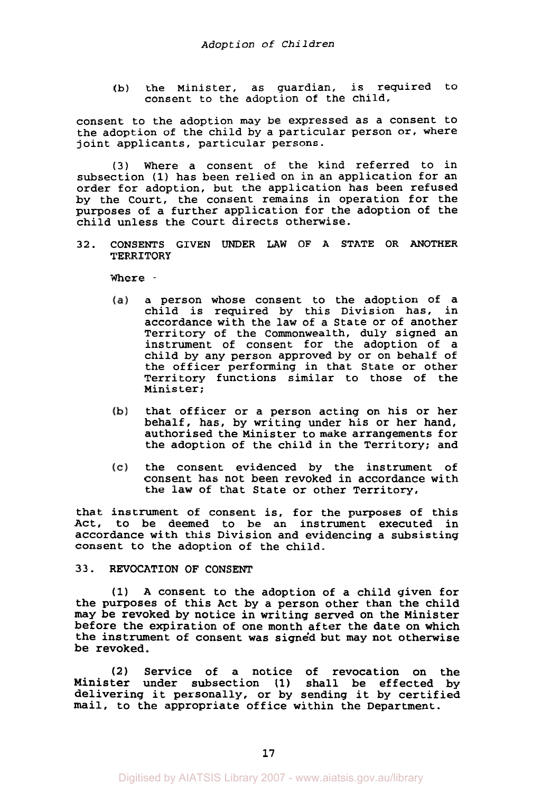(b) the Minister, as guardian, is required to consent to the adoption of the child,

consent to the adoption may be expressed as a consent to the adoption of the child by a particular person or, where joint applicants, particular persons.

**(3)** Where a consent of the kind referred to in subsection **(1)** has been relied on in an application for an order for adoption, but the application has been refused by the Court, the consent remains in operation for the purposes of a further application for the adoption of the child unless the Court directs otherwise.

32. CONSENTS GIVEN UNDER LAW OF A STATE OR ANOTHER TERRITORY

Where -

- a person whose consent to the adoption of a  $(a)$ child is required by this Division has, in accordance with the law of a State or of another Territory of the Commonwealth, duly signed an instrument of consent for the adoption of a child by any person approved by or on behalf of the officer performing in that State or other Territory functions similar to those of the Minister;
- (b) that officer or a person acting on his or her behalf, has, by writing under his or her hand, authorised the Minister to make arrangements for the adoption of the child in the Territory; and
- the consent evidenced by the instrument of  $(c)$ consent has not been revoked in accordance with the law of that State or other Territory,

that instrument of consent is, for the purposes of this Act, to be deemed to be an instrument executed in accordance with this Division and evidencing a subsisting consent to the adoption of the child.

### **33.** REVOCATION OF CONSENT

(1) A consent to the adoption of a child given for the purposes of this Act by a person other than the child may be revoked by notice in writing served on the Minister before the expiration of one month after the date on which the instrument of consent was signed but may not otherwise be revoked.

**(2)** Service of a notice of revocation on the Minister under subsection **(1)** shall be effected by delivering it personally, or by sending it by certified mail, to the appropriate office within the Department.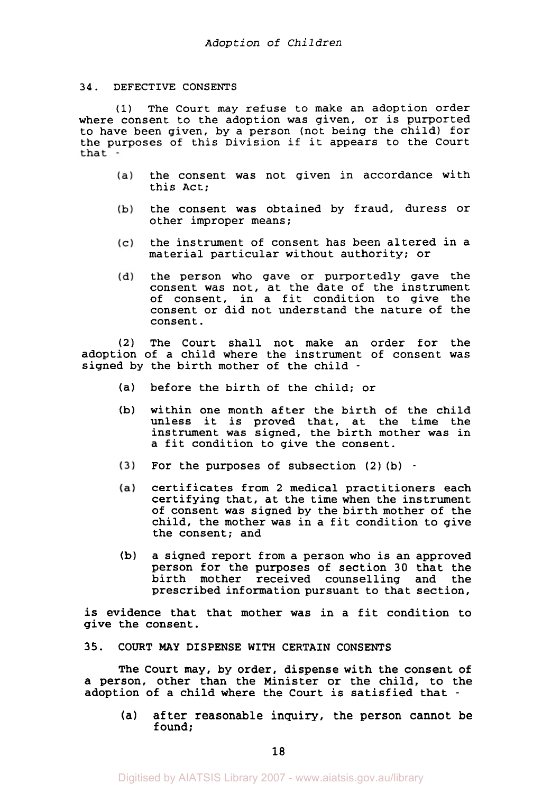#### 34. DEFECTIVE CONSENTS

**(1)** The Court may refuse to make an adoption order where consent to the adoption was given, or is purported to have been given, by a person (not being the child) for the purposes of this Division if it appears to the Court

- the consent was not given in accordance with  $(a)$ this Act;
- the consent was obtained by fraud, duress or  $(b)$ other improper means;
- the instrument of consent has been altered in a  $(c)$ material particular without authority: or
- $(d)$ the person who gave or purportedly gave the consent was not, at the date of the instrument of consent, in a fit condition to give the consent or did not understand the nature of the consent.

(2) The Court shall not make an order for the<br>adoption of a child where the instrument of consent was signed by the birth mother of the child - The Court shall not make an order for the

- (a) before the birth of the child; or
- (b) within one month after the birth of the child unless it is proved that, at the time the instrument was signed, the birth mother was in a fit condition to give the consent.
- $(3)$ For the purposes of subsection (2) (b) -
- certificates from *2* medical practitioners each  $(a)$ certifying that, at the time when the instrument of consent was signed by the birth mother of the child, the mother was in a fit condition to give the consent; and
- (b) a signed report from a person who is an approved person for the purposes of section 30 that the<br>birth mother received counselling and the birth mother received counselling and prescribed information pursuant to that section,

is evidence that that mother was in a fit condition to give the consent.

35. COURT **MAY DISPENSE** WITH CERTAIN CONSENTS

The Court may, by order, dispense with the consent of a person, other than the Minister or the child, to the adoption of a child where the Court is satisfied that -

(a) after reasonable inquiry, the person cannot be found;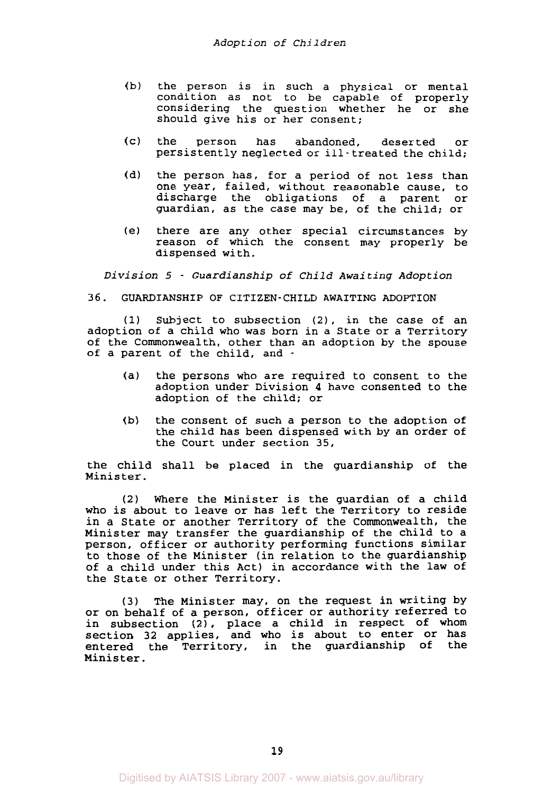- (b) the person is in such a physical or mental condition as not to be capable of properly considering the question whether he or she should give his or her consent;
- (c) the person has abandoned, deserted or persistently neglected or ill - treated the child;
- (d) the person has, for a period of not less than one year, failed, without reasonable cause, to discharge the obligations of a parent or guardian, as the case may be, of the child; or
- (e) there are any other special circumstances by reason of which the consent may properly be dispensed with.

*Division 5* - *Guardianship of Child Awaiting Adoption* 

#### 36. GUARDIANSHIP OF CITIZEN-CHILD AWAITING ADOPTION

**(1)** Subject to subsection **(2),** in the case of an adoption of a child who was born in a State or a Territory of the Commonwealth, other than an adoption by the spouse of a parent of the child, and -

- (a) the persons who are required to consent to the adoption under Division **4** have consented to the adoption of the child; or
- (b) the consent of such a person to the adoption of the child has been dispensed with by an order of the Court under section 35,

the child shall be placed in the guardianship of the Minister.

**(2)** Where the Minister is the guardian of a child who is about to leave or has left the Territory to reside in a State or another Territory of the Commonwealth, the Minister may transfer the guardianship of the child to a person, officer or authority performing functions similar to those of the Minister (in relation to the guardianship of a child under this Act) in accordance with the law of the State or other Territory.

(3) The Minister may, on the request in writing by or on behalf of a person, officer or authority referred to in subsection **(2),** place a child in respect of whom section 32 applies, and who is about to enter or has entered the Territory, in the guardianship of the Minister .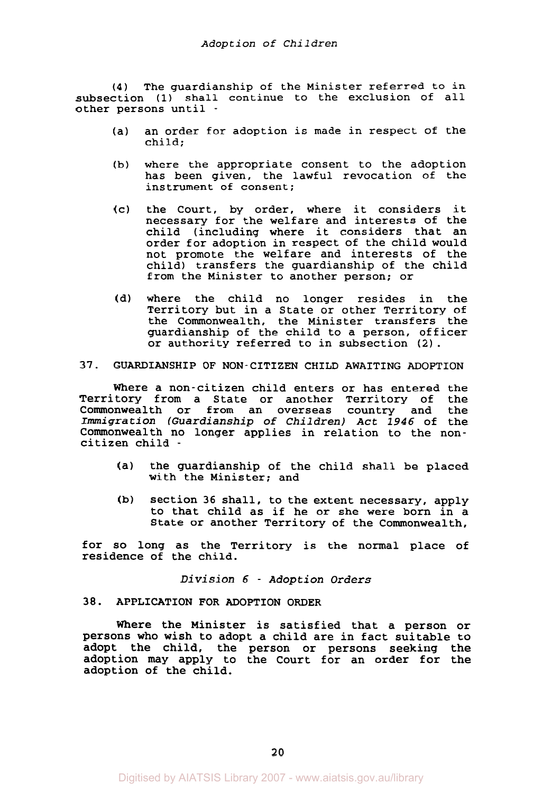**(4)** The guardianship of the Minister referred to in subsection (1) shall continue to the exclusion of all other persons until -

- (a) an order for adoption is made in respect of the child;
- (b) where the appropriate consent to the adoption has been given, the lawful revocation of the instrument of consent;
- (c) the Court, by order, where it considers it necessary for the welfare and interests of the child (including where it considers that an order for adoption in respect of the child would not promote the welfare and interests of the child) transfers the guardianship of the child from the Minister to another person; or
- (d) where the child no longer resides in the Territory but in a State or other Territory of the Commonwealth, the Minister transfers the guardianship of the child to a person, officer or authority referred to in subsection **(2).**

# **37.** GUARDIANSHIP OF NON-CITIZEN CHILD AWAITING ADOPTION

Where a non-citizen child enters or has entered the<br>tory from a State or another Territory of the Territory from a State or another Territory of the Commonwealth or from an overseas country and *Immigration (Guardianship* of *Children) Act 1946* of the Commonwealth no longer applies in relation to the noncitizen child -

- (a) the guardianship of the child shall be placed with the Minister; and
- (b) section 36 shall, to the extent necessary, apply to that child as if he or she were born in a State or another Territory of the Commonwealth,

for so long as the Territory is the normal place of residence of the child.

*Division 6* - *Adoption Orders* 

# **38.** APPLICATION FOR ADOPTION ORDER

Where the Minister is satisfied that a person or persons who wish to adopt a child are in fact suitable to adopt the child, the person or persons seeking the adoption may apply to the Court for an order for **the**  adoption of the child.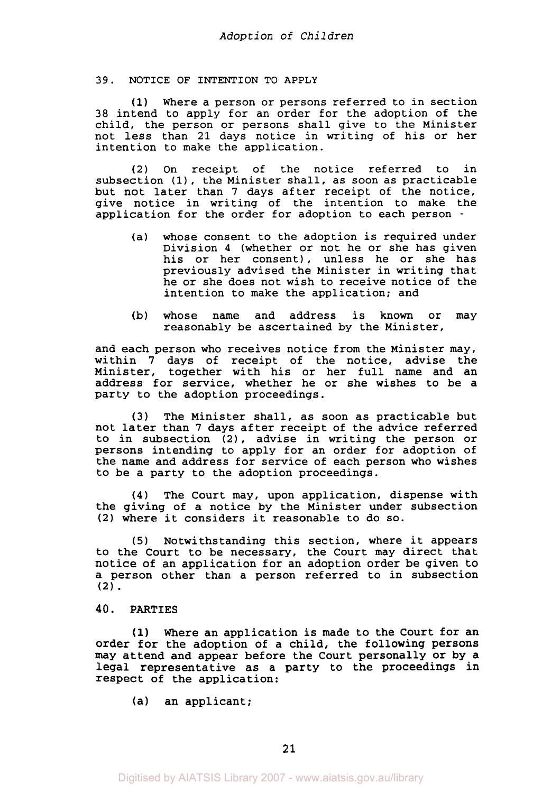### **39. NOTICE OF INTENTION TO APPLY**

**(1)** Where a person or persons referred to in section 38 intend to apply for an order for the adoption of the child, the person or persons shall give to the Minister not less than 21 days notice in writing of his or her intention to make the application.

(2) On receipt of the notice referred to in subsection **(1),** the Minister shall, as soon as practicable but not later than **7** days after receipt of the notice, give notice in writing of the intention to make the application for the order for adoption to each person -

- (a) whose consent to the adoption is required under Division **4** (whether or not he or she has given his or her consent), unless he or she has previously advised the Minister in writing that he or she does not wish to receive notice of the intention to make the application; and
- (b) whose name and address is known or may reasonably be ascertained by the Minister,

and each person who receives notice from the Minister may, within **7** days of receipt of the notice, advise the Minister, together with his or her full name and an address for service, whether he or she wishes to be a party to the adoption proceedings.

**(3)** The Minister shall, as soon as practicable but not later than **7** days after receipt of the advice referred to in subsection **(21,** advise in writing the person or persons intending to apply for an order for adoption of the name and address for service of each person who wishes to be a party to the adoption proceedings.

**(4)** The Court may, upon application, dispense with the giving of a notice by the Minister under subsection **(2)** where it considers it reasonable to do so.

**(5)** Notwithstanding this section, where it appears to the Court to be necessary, the Court may direct that notice of an application for an adoption order be given to a person other than a person referred to in subsection **(2).** 

### **40. PARTIES**

**(1)** Where an application is made to the Court for an order for the adoption of a child, the following persons may attend and appear before the Court personally or by a legal representative as a party to the proceedings in respect of the application:

(a) an applicant;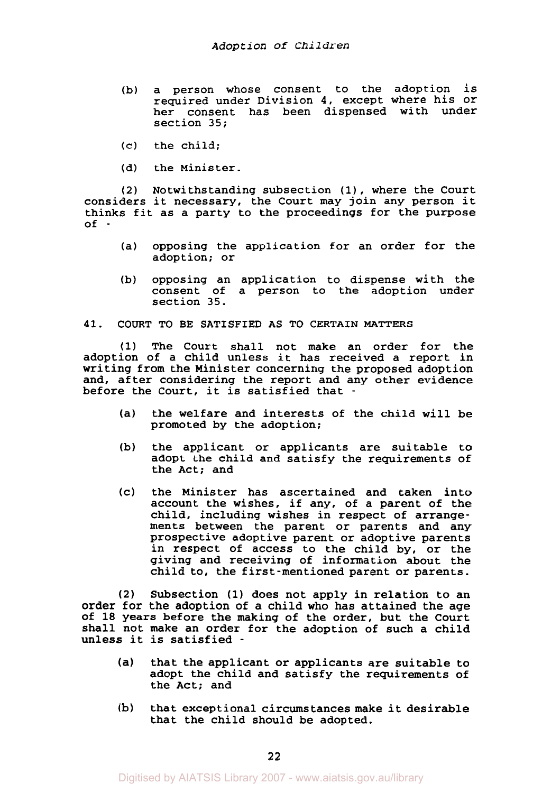- **(b) a person whose consent to the adoption is required under Division 4, except where his or her consent has been dispensed with under section 35;**
- **(c) the child;**
- **(d) the Minister.**

**(2) Notwithstanding subsection (1), where the Court considers it necessary, the Court may join any person it thinks fit as a party to the proceedings for the purpose of** -

- **(a) opposing the application for an order for the adoption; or**
- **(b) opposing an application to dispense with the consent of a person to the adoption under section 35.**

#### **41. COURT TO BE SATISFIED AS TO CERTAIN MATTERS**

**(1) The Court shall not make an order for the adoption of a child unless it has received a report in writing from the Minister concerning the proposed adoption and, after considering the report and any other evidence before the Court, it is satisfied that** -

- **(a) the welfare and interests of the child will be promoted by the adoption;**
- **(b) the applicant or applicants are suitable to adopt the child and satisfy the requirements of the Act; and**
- **(c) the Minister has ascertained and taken into account the wishes, if any, of a parent of the child, including wishes in respect of arrangements between the parent or parents and any prospective adoptive parent or adoptive parents in respect of access to the child by, or the giving and receiving of information about the child to, the first-mentioned parent or parents.**

**(2) Subsection (1) does not apply in relation to an order for the adoption of a child who has attained the age of 18 years before the making of the order, but the Court shall not make an order for the adoption of such a child unless it is satisfied** -

- **(a) that the applicant or applicants are suitable to adopt the child and satisfy the requirements of the Act; and**
- **that exceptional circumstances make it desirable that the child should be adopted. (b)**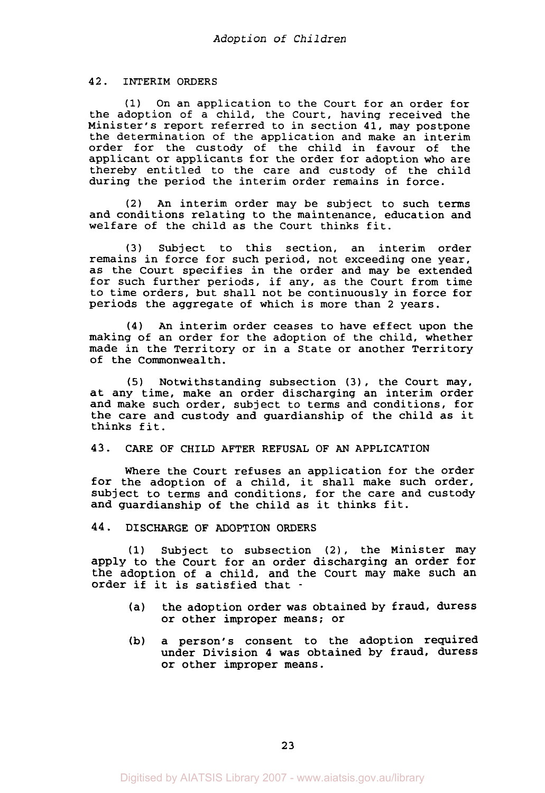#### **42.** INTERIM ORDERS

**(1)** On an application to the Court for an order for the adoption of a child, the Court, having received the Minister's report referred to in section 41, may postpone the determination of the application and make an interim order for the custody of the child in favour of the applicant or applicants for the order for adoption who are thereby entitled to the care and custody of the child during the period the interim order remains in force.

(2) *An* interim order may be subject to such terms and conditions relating to the maintenance, education and welfare of the child as the Court thinks fit.

**(3)** Subject to this section, an interim order remains in force for such period, not exceeding one year, as the Court specifies in the order and may be extended for such further periods, if any, as the Court from time to time orders, but shall not be continuously in force for periods the aggregate of which is more than **2** years.

**(4)** *An* interim order ceases to have effect upon the making of an order for the adoption of the child, whether made in the Territory or in a State or another Territory of the Commonwealth.

(5) Notwithstanding subsection **(3),** the Court may, at any time, make an order discharging an interim order and make such order, subject to terms and conditions, for the care and custody and guardianship of the child as it thinks fit.

### **43-** CARE OF CHILD AFTER REFUSAL OF AN APPLICATION

Where the court refuses an application for the order for the adoption of a child, it shall make such order, subject to terms and conditions, for the care and custody and guardianship of the child as it thinks fit.

### **44.** DISCHARGE OF ADOPTION ORDERS

**(1)** Subject to subsection (2), the Minister may apply to the Court for an order discharging an order for the adoption of a child, and the Court may make such an order if it is satisfied that -

- (a) the adoption order **was** obtained by fraud, duress or other improper means; or
- (b) a person's consent to the adoption required under Division **4** was obtained by fraud, duress or other improper means.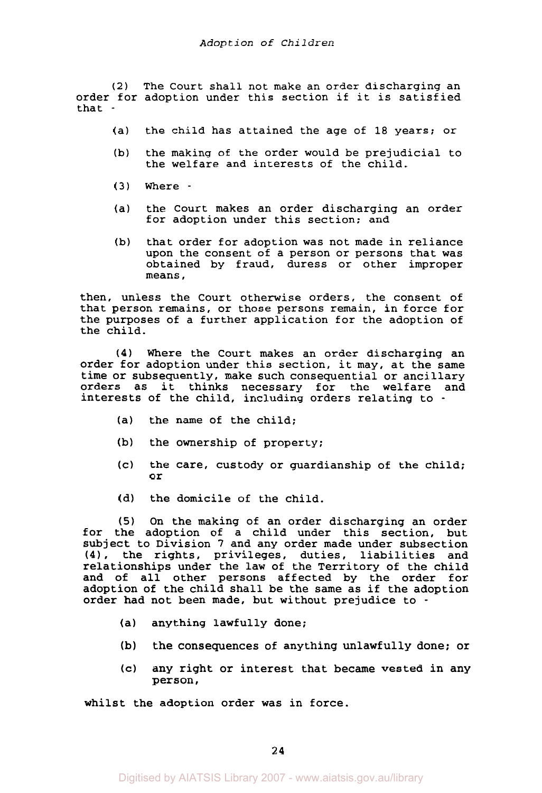*(2)* The Court shall not make an order discharging an order for adoption under this section if it is satisfied that -

- (a) the child has attained the age of 18 years; or
- (b) the making of the order would be prejudicial to the welfare and interests of the child.
- **(3)** Where -
- (a) the Court makes an order discharging an order for adoption under this section; and
- (b) that order for adoption was not made in reliance upon the consent of a person or persons that was obtained by fraud, duress or other improper means,

then, unless the Court otherwise orders, the consent of that person remains, or those persons remain, in force for the purposes of a further application for the adoption of the child.

**(4)** Where the Court makes an order discharging an order for adoption under this section, it may, at the same time or subsequently, make such consequential or ancillary orders as it thinks necessary for the welfare and interests of the child, including orders relating to -

- (a) the name of the child;
- (b) the ownership of property;
- (c) the care, custody or guardianship of the child; **or**
- (d) the domicile of the child.

**(5)** On the making of an order discharging an order for the adoption of a child under this section, but subject to Division *7* and any order made under subsection **(4),** the rights, privileges, duties, liabilities and relationships under the law of the Territory of the child and of all other persons affected by the order for adoption of the child shall be the same as if the adoption order had not been made, but without prejudice to -

- (a) anything lawfully done;
- **(b)** the consequences of anything unlawfully done; or
- *(c)* any right or interest that became vested in any person,

whilst the adoption order was in force.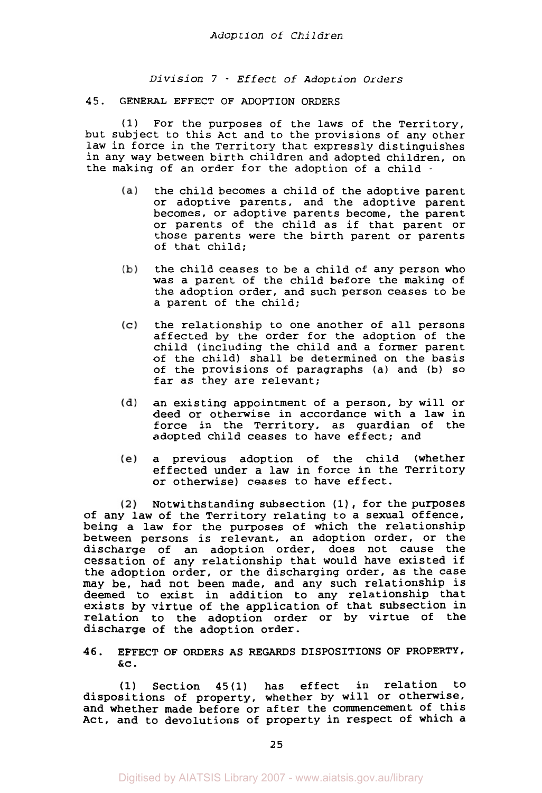*Division* **7** - *Effect of Adoption Orders* 

#### 45. GENERAL EFFECT OF ADOPTION ORDERS

**(1)** For the purposes of the laws of the Territory, but subject to this Act and to the provisions of any other law in force in the Territory that expressly distinguishes in any way between birth children and adopted children, on the making of an order for the adoption of a child -

- the child becomes a child of the adoptive parent  $(a)$ or adoptive parents, and the adoptive parent becomes, or adoptive parents become, the parent or parents of the child as if that parent or those parents were the birth parent or parents of that child;
- the child ceases to be a child of any person who  $(b)$ was a parent of the child before the making of the adoption order, and such person ceases to be a parent of the child;
- the relationship to one another of all persons  $(c)$ affected by the order for the adoption of the child (including the child and a former parent of the child) shall be determined on the basis of the provisions of paragraphs (a) and (b) **so**  far as they are relevant;
- an existing appointment of a person, by will or  $(d)$ deed or otherwise in accordance with a law in force in the Territory, as guardian of the adopted child ceases to have effect; and
- a previous adoption of the child (whether  $(e)$ effected under a law in force in the Territory or otherwise) ceases to have effect.

Notwithstanding subsection **(1),** for the purposes  $(2)$ of any law of the Territory relating to a sexual offence, being a law for the purposes of which the relationship between persons is relevant, an adoption order, or the discharge of an adoption order, does not cause the cessation of any relationship that would have existed if the adoption order, or the discharging order, as the case may be, had not been made, and any such relationship is deemed to exist in addition to any relationship that exists by virtue of the application of that subsection in relation to the adoption order or by virtue of the discharge of the adoption order.

**46.** EFFECT OF ORDERS **AS** REGARDS DISPOSITIONS OF PROPERTY, *&c.* 

**(1)** Section **45(1)** has effect in relation to dispositions of property, whether by will or otherwise, and whether made before or after the commencement of this Act, and to devolutions of property in respect of which a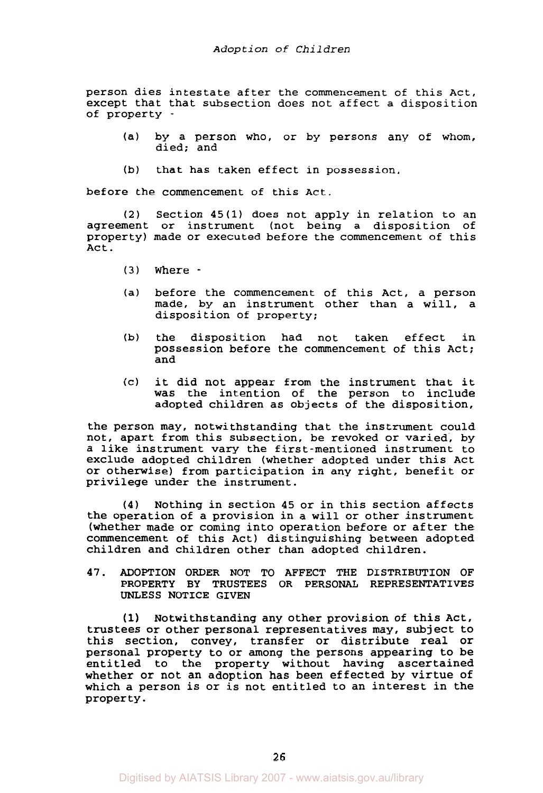person dies intestate after the commencement of this Act. except that that subsection does not affect a disposition of property -

- (a) by a person who, or by persons any of whom, died: and
- (b) that has taken effect in possession,

before the commencement of this Act.

*(2)* Section **45(1)** does not apply in relation to an agreement or instrument (not being a disposition of property) made or executed before the commencement of this Act.

- **(3)** Where -
- (a) before the commencement of this Act, a person made, by an instrument other than a will, a disposition of property;
- (b) the disposition had not taken effect in possession before the commencement of this Act; and
- (c) it did not appear from the instrument that it was the intention of the person to include adopted children as objects of the disposition,

the person may, notwithstanding that the instrument could not, apart from this subsection, be revoked or varied, by a like instrument vary the first-mentioned instrument to exclude adopted children (whether adopted under this Act or otherwise) from participation in any right, benefit or privilege under the instrument.

**(4)** Nothing in section 45 or in this section affects the operation of a provision in a will or other instrument (whether made or coming into operation before or after the commencement of this Act) distinguishing between adopted children and children other than adopted children.

**47.** ADOPTION ORDER NOT TO AFFECT THE DISTRIBUTION OF PROPERTY BY TRUSTEES OR PERSONAL REPRESENTATIVES UNLESS NOTICE GIVEN

**(1)** Notwithstanding any other provision of this Act, trustees or other personal representatives may, subject to this section, convey, transfer or distribute real or personal property to or among the persons appearing to be entitled to the property without having ascertained whether or not an adoption has been effected by virtue of which a person is or is not entitled to an interest in the property .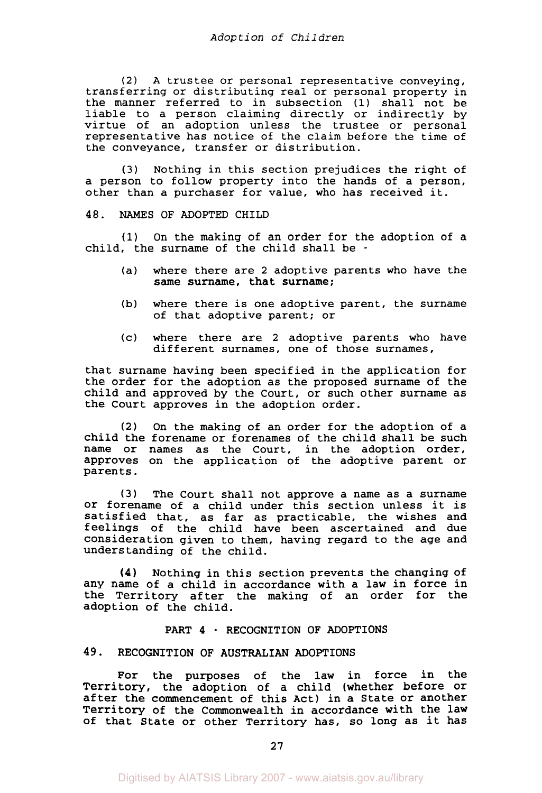**(2) A** trustee or personal representative conveying, transferring or distributing real or personal property in the manner referred to in subsection **(1)** shall not be liable to a person claiming directly or indirectly by virtue of an adoption unless the trustee or personal representative has notice of the claim before the time of the conveyance, transfer or distribution.

**(3)** Nothing in this section prejudices the right of a person to follow property into the hands of a person, other than a purchaser for value, who has received it.

#### **48.** NAMES OF ADOPTED CHILD

(1) On the making of an order for the adoption of a child, the surname of the child shall be -

- (a) where there are 2 adoptive parents who have the same surname, that surname;
- (b) where there is one adoptive parent, the surname of that adoptive parent; or
- (c) where there are 2 adoptive parents who have different surnames, one of those surnames,

that surname having been specified in the application for the order for the adoption as the proposed surname of the child and approved by the Court, or such other surname as the Court approves in the adoption order.

**(2)** On the making of an order for the adoption of a child the forename or forenames of the child shall be such name or names as the Court, in the adoption order, approves on the application of the adoptive parent or parents.

**(3)** The Court shall not approve a name as a surname **Or** forename of a child under this section unless it is satisfied that, as far as practicable, the wishes and feelings of the child have been ascertained and due consideration given to them, having regard to the age and understanding of the child.

Nothing in this section prevents the changing of any name of a child in accordance with a law in force in the Territory after the making of an order for the adoption of the child. **(4)** 

# PART **4** - RECOGNITION OF ADOPTIONS

# **49.** RECOGNITION OF AUSTRALIAN ADOPTIONS

For the purposes of the law in force in the Territory, the adoption of a child (whether before or after the commencement of this Act) in a State or another Territory of the Commonwealth in accordance with the law of that State or other Territory has, **so** long as it has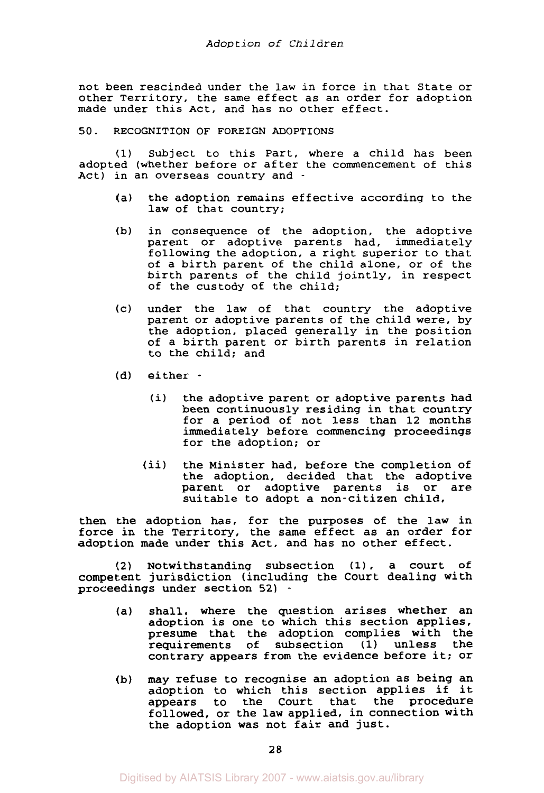not been rescinded under the law in force in that State or other Territory, the same effect as an order for adoption made under this Act, and has no other effect.

**50.** RECOGNITION OF FOREIGN ADOPTIONS

**(1)** Subject to this Part, where a child has been adopted (whether before or after the commencement of this Act) in an overseas country and -

- (a) the adoption remains effective according to the law of that country;
- (b) in consequence of the adoption, the adoptive parent or adoptive parents had, immediately following the adoption, a right superior to that of a birth parent of the child alone, or of the birth parents of the child jointly, in respect of the custody of the child;
- (c) under the law of that country the adoptive parent or adoptive parents of the child were, by the adoption, placed generally in the position of a birth parent or birth parents in relation to the child; and
- (d) either
	- (i) the adoptive parent or adoptive parents had been continuously residing in that country for a period of not less than **12** months immediately before commencing proceedings for the adoption; or
	- (ii) the Minister had, before the completion of the adoption, decided that the adoptive<br>parent or adoptive parents is or are parent or adoptive parents is or suitable to adopt a non-citizen child,

then the adoption has, for the purposes of the law in force in the Territory, the same effect as an order for adoption made under this Act, and has no other effect.

**(2)** Notwithstanding subsection **(1),** a court **of**  competent jurisdiction (including the Court dealing with proceedings under section **52)** -

- (a) shall, where the question arises whether an adoption is one to which this section applies, presume that the adoption complies with the requirements of subsection **(1)** unless the contrary appears from the evidence before it; or
- (b) may refuse to recognise an adoption as being an adoption to which this section applies if it the Court that the procedure followed, or the law applied, in connection with the adoption was not fair and just.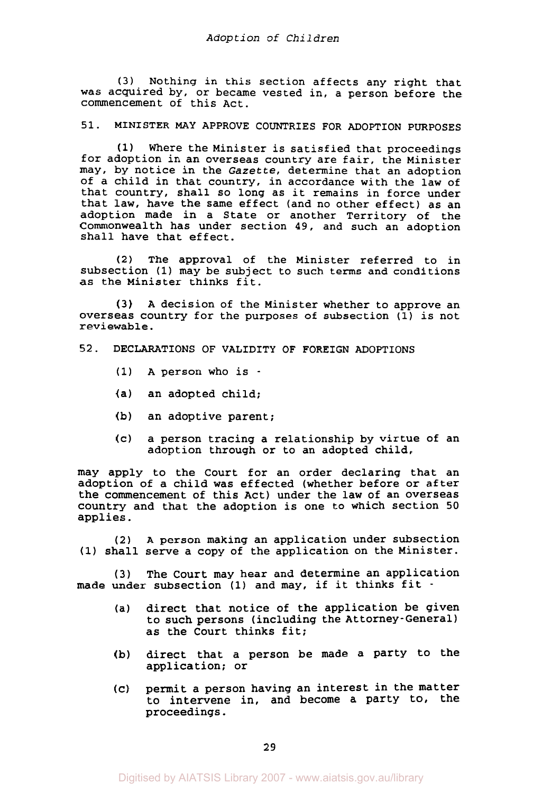**(3)** Nothing in this section affects any right that was acquired by, or became vested in, a person before the commencement of this Act.

51. MINISTER MAY APPROVE COUNTRIES FOR ADOPTION PURPOSES

where the Minister is satisfied that proceedings for adoption in an overseas country are fair, the Minister may, by notice in the *Gazette,* determine that an adoption of a child in that country, in accordance with the law of that country, shall **so** long as it remains in force under that law, have the same effect (and no other effect) as an adoption made in a State or another Territory of the Commonwealth has under section **49,** and such an adoption shall have that effect. **(1)** 

**(2)** The approval of the Minister referred to in subsection **(1)** may be subject to such terms and conditions as the Minister thinks fit.

A decision of the Minister whether to approve an overseas country for the purposes of subsection **(1)** is not reviewable. **(3)** 

# **52.** DECLARATIONS OF VALIDITY OF FOREIGN ADOPTIONS

- **(1) A** person who is -
- (a) an adopted child;
- (b) an adoptive parent;
- (c) a person tracing a relationship by virtue of an adoption through or to an adopted child,

may apply to the Court for an order declaring that an adoption of a child was effected (whether before or after the commencement of this Act) under the law of an overseas Country and that the adoption is one to which section **50**  applies.

**(2)** A person making an application under subsection **(1)** shall serve a copy of the application on the Minister.

**(3)** The Court may hear and determine an application made under subsection (1) and may, if it thinks fit -

- (a) direct that notice of the application be given to such persons (including the Attorney-General) as the Court thinks fit;
- (b) direct that a person be made a party to the application; or
- permit a person having an interest in the matter to intervene in, and become a party to, the proceedings.  $(c)$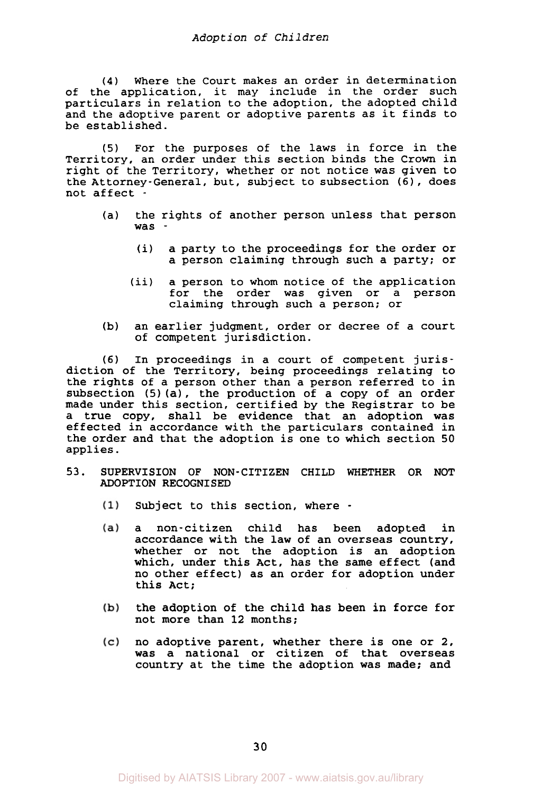**(4)** Where the Court makes an order in determination of the application, it may include in the order such particulars in relation to the adoption, the adopted child and the adoptive parent or adoptive parents as it finds to be established.

*(5)* For the purposes of the laws in force in the Territory, an order under this section binds the Crown in right of the Territory, whether or not notice was given to the Attorney-General, but, subject to subsection *(6)* , does not affect -

- (a) the rights of another person unless that person was -
	- (i) a party to the proceedings for the order or a person claiming through such a party; or
	- (ii) a person to whom notice of the application for the order was given or a person claiming through such a person; or
- **(b)** an earlier judgment, order or decree of a court of competent jurisdiction.

**(6)** In proceedings in a court of competent jurisdiction of the Territory, being proceedings relating to the rights of a person other than a person referred to in subsection **(5)** (a), the production of a copy of an order made under this section, certified by the Registrar to be a true copy, shall be evidence that an adoption was effected in accordance with the particulars contained in the order and that the adoption is one to which section **50**  applies.

- 53. SUPERVISION OF NON-CITIZEN CHILD WHETHER OR NOT ADOPTION RECOGNISED
	- $(1)$ Subject to this section, where -
	- $(a)$ a non-citizen child has been adopted in accordance with the law of an overseas country, whether or not the adoption is an adoption which, under this Act, has the same effect (and no other effect) as an order for adoption under this Act;
	- the adoption of the child has been in force for  $(b)$ not more than **12** months;
	- $(c)$ no adoptive parent, whether there is one or **2,**  was a national or citizen of that overseas country at the time the adoption was made; and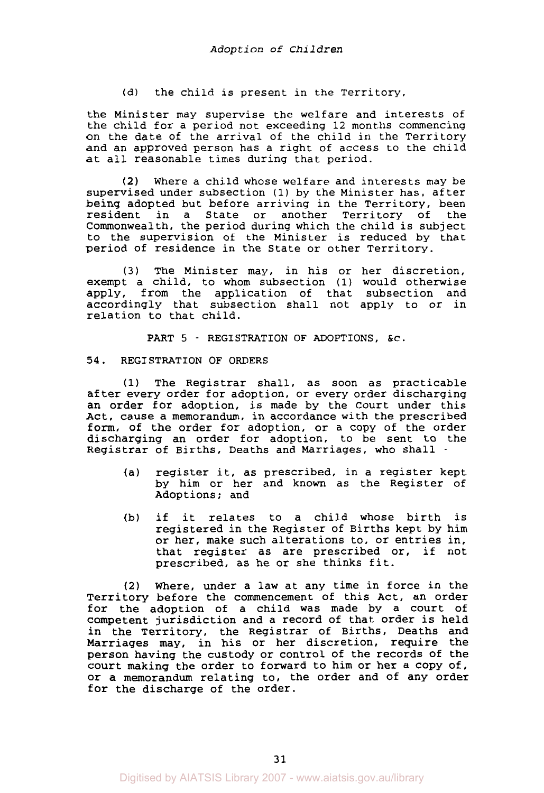(d) the child is present in the Territory,

the Minister may supervise the welfare and interests of the child for a period not exceeding 12 months commencing on the date of the arrival of the child in the Territory and an approved person has a right of access to the child at all reasonable times during that period.

Where a child whose welfare and interests may be **(2)**  supervised under subsection **(1)** by the Minister has, after being adopted but before arriving in the Territory, been<br>resident in a State or another Territory of the resident in a State or another Territory of Commonwealth, the period during which the child is subject to the supervision of the Minister is reduced by that period of residence in the State or other Territory.

**(3)** The Minister may, in his or her discretion, exempt a child, to whom subsection **(1)** would otherwise apply, from the application of that subsection and accordingly that subsection shall not apply to or in relation to that child.

PART 5 - REGISTRATION OF ADOPTIONS, &c.

### **54.** REGISTRATION OF ORDERS

**(1)** The Registrar shall, as soon as practicable after every order for adoption, or every order discharging an order for adoption, is made by the Court under this Act, cause a memorandum, in accordance with the prescribed form, of the order for adoption, or a copy of the order discharging an order for adoption, to be sent to the Registrar of Births, Deaths and Marriages, who shall -

- (a) register it, as prescribed, in a register kept by him or her and known as the Register of Adoptions; and
- (b) if it relates to a child whose birth is registered in the Register of Births kept by him or her, make such alterations to, or entries in, that register as are prescribed or, if not prescribed, as he or she thinks fit.

**(2)** Where, under a law at any time in force in the Territory before the commencement of this Act, an order for the adoption of a child was made by a court of competent jurisdiction and a record of that order is held in the Territory, the Registrar of Births, Deaths and Marriages may, in his or her discretion, require the person having the custody or control of the records of the court making the order to forward to him or her a copy of, or a memorandum relating to, the order and of any order for the discharge of the order.